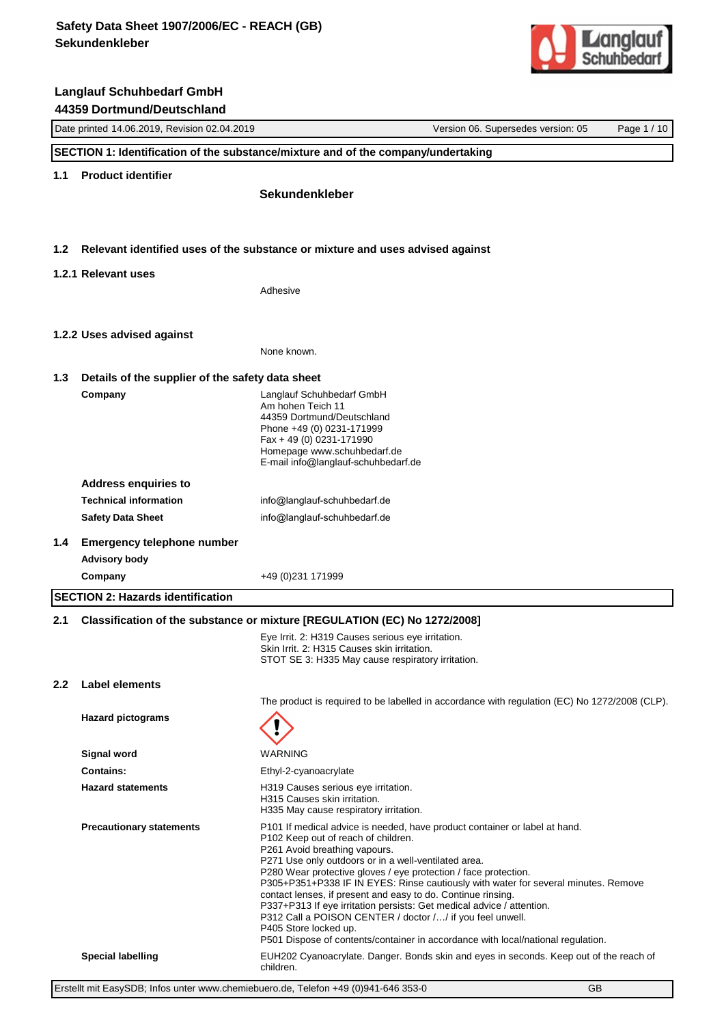

|                  | Date printed 14.06.2019, Revision 02.04.2019     | Version 06. Supersedes version: 05<br>Page 1 / 10                                                                                                                                                                                                                                                                                                                                                                                   |
|------------------|--------------------------------------------------|-------------------------------------------------------------------------------------------------------------------------------------------------------------------------------------------------------------------------------------------------------------------------------------------------------------------------------------------------------------------------------------------------------------------------------------|
|                  |                                                  | SECTION 1: Identification of the substance/mixture and of the company/undertaking                                                                                                                                                                                                                                                                                                                                                   |
| 1.1              | <b>Product identifier</b>                        |                                                                                                                                                                                                                                                                                                                                                                                                                                     |
|                  |                                                  | <b>Sekundenkleber</b>                                                                                                                                                                                                                                                                                                                                                                                                               |
|                  |                                                  |                                                                                                                                                                                                                                                                                                                                                                                                                                     |
| 1.2 <sub>2</sub> |                                                  | Relevant identified uses of the substance or mixture and uses advised against                                                                                                                                                                                                                                                                                                                                                       |
|                  | 1.2.1 Relevant uses                              |                                                                                                                                                                                                                                                                                                                                                                                                                                     |
|                  |                                                  | Adhesive                                                                                                                                                                                                                                                                                                                                                                                                                            |
|                  | 1.2.2 Uses advised against                       |                                                                                                                                                                                                                                                                                                                                                                                                                                     |
|                  |                                                  | None known.                                                                                                                                                                                                                                                                                                                                                                                                                         |
| 1.3              | Details of the supplier of the safety data sheet |                                                                                                                                                                                                                                                                                                                                                                                                                                     |
|                  | Company                                          | Langlauf Schuhbedarf GmbH<br>Am hohen Teich 11<br>44359 Dortmund/Deutschland<br>Phone +49 (0) 0231-171999<br>Fax + 49 (0) 0231-171990<br>Homepage www.schuhbedarf.de<br>E-mail info@langlauf-schuhbedarf.de                                                                                                                                                                                                                         |
|                  | <b>Address enquiries to</b>                      |                                                                                                                                                                                                                                                                                                                                                                                                                                     |
|                  | <b>Technical information</b>                     | info@langlauf-schuhbedarf.de                                                                                                                                                                                                                                                                                                                                                                                                        |
|                  | <b>Safety Data Sheet</b>                         | info@langlauf-schuhbedarf.de                                                                                                                                                                                                                                                                                                                                                                                                        |
| $1.4^{\circ}$    | <b>Emergency telephone number</b>                |                                                                                                                                                                                                                                                                                                                                                                                                                                     |
|                  | <b>Advisory body</b>                             |                                                                                                                                                                                                                                                                                                                                                                                                                                     |
|                  | Company                                          | +49 (0) 231 1719 99                                                                                                                                                                                                                                                                                                                                                                                                                 |
|                  | <b>SECTION 2: Hazards identification</b>         |                                                                                                                                                                                                                                                                                                                                                                                                                                     |
| 2.1              |                                                  | Classification of the substance or mixture [REGULATION (EC) No 1272/2008]                                                                                                                                                                                                                                                                                                                                                           |
|                  |                                                  | Eye Irrit. 2: H319 Causes serious eye irritation.<br>Skin Irrit. 2: H315 Causes skin irritation.<br>STOT SE 3: H335 May cause respiratory irritation.                                                                                                                                                                                                                                                                               |
| 2.2 <sub>2</sub> | <b>Label elements</b>                            |                                                                                                                                                                                                                                                                                                                                                                                                                                     |
|                  |                                                  | The product is required to be labelled in accordance with regulation (EC) No 1272/2008 (CLP).                                                                                                                                                                                                                                                                                                                                       |
|                  | <b>Hazard pictograms</b>                         |                                                                                                                                                                                                                                                                                                                                                                                                                                     |
|                  | <b>Signal word</b>                               | <b>WARNING</b>                                                                                                                                                                                                                                                                                                                                                                                                                      |
|                  | Contains:                                        | Ethyl-2-cyanoacrylate                                                                                                                                                                                                                                                                                                                                                                                                               |
|                  | <b>Hazard statements</b>                         | H319 Causes serious eye irritation.<br>H315 Causes skin irritation.<br>H335 May cause respiratory irritation.                                                                                                                                                                                                                                                                                                                       |
|                  | <b>Precautionary statements</b>                  | P101 If medical advice is needed, have product container or label at hand.<br>P102 Keep out of reach of children.<br>P261 Avoid breathing vapours.<br>P271 Use only outdoors or in a well-ventilated area.<br>P280 Wear protective gloves / eye protection / face protection.<br>P305+P351+P338 IF IN EYES: Rinse cautiously with water for several minutes. Remove<br>contact lenses, if present and easy to do. Continue rinsing. |

P337+P313 If eye irritation persists: Get medical advice / attention.

P312 Call a POISON CENTER / doctor /…/ if you feel unwell.

P405 Store locked up.

P501 Dispose of contents/container in accordance with local/national regulation.

**Special labelling** EUH202 Cyanoacrylate. Danger. Bonds skin and eyes in seconds. Keep out of the reach of children.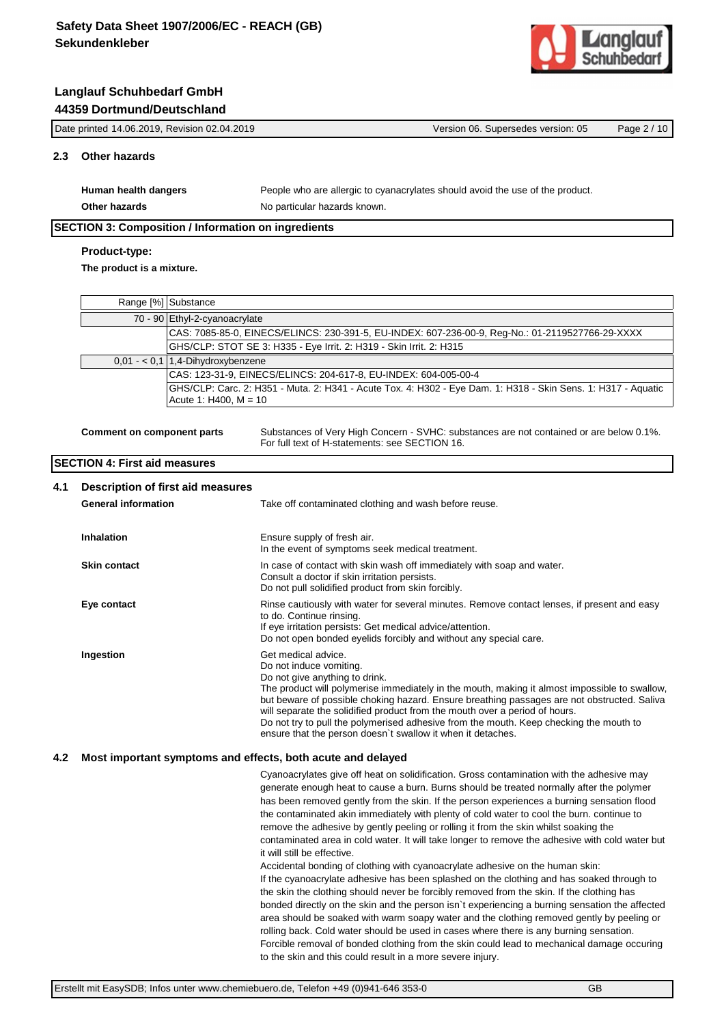

| Date printed 14.06.2019, Revision 02.04.2019 |                                                            | Version 06. Supersedes version: 05                                            | Page 2 / 10 |
|----------------------------------------------|------------------------------------------------------------|-------------------------------------------------------------------------------|-------------|
|                                              | Other hazards                                              |                                                                               |             |
|                                              | Human health dangers                                       | People who are allergic to cyanacrylates should avoid the use of the product. |             |
|                                              | Other hazards                                              | No particular hazards known.                                                  |             |
|                                              | <b>SECTION 3: Composition / Information on ingredients</b> |                                                                               |             |

# **Product-type:**

**The product is a mixture.**

| Range [%] Substance                                                                                                                      |
|------------------------------------------------------------------------------------------------------------------------------------------|
| 70 - 90 Ethyl-2-cyanoacrylate                                                                                                            |
| CAS: 7085-85-0, EINECS/ELINCS: 230-391-5, EU-INDEX: 607-236-00-9, Reg-No.: 01-2119527766-29-XXXX                                         |
| GHS/CLP: STOT SE 3: H335 - Eye Irrit. 2: H319 - Skin Irrit. 2: H315                                                                      |
| $0,01 - 0,1$ 1,4-Dihydroxybenzene                                                                                                        |
| CAS: 123-31-9, EINECS/ELINCS: 204-617-8, EU-INDEX: 604-005-00-4                                                                          |
| GHS/CLP: Carc. 2: H351 - Muta. 2: H341 - Acute Tox. 4: H302 - Eye Dam. 1: H318 - Skin Sens. 1: H317 - Aquatic<br>Acute 1: H400, $M = 10$ |

**Comment on component parts** Substances of Very High Concern - SVHC: substances are not contained or are below 0.1%. For full text of H-statements: see SECTION 16.

## **SECTION 4: First aid measures**

| 4.1 | Description of first aid measures<br><b>General information</b> | Take off contaminated clothing and wash before reuse.                                                                                                                                                                                                                                                                                                                                                                                                                                                                    |
|-----|-----------------------------------------------------------------|--------------------------------------------------------------------------------------------------------------------------------------------------------------------------------------------------------------------------------------------------------------------------------------------------------------------------------------------------------------------------------------------------------------------------------------------------------------------------------------------------------------------------|
|     | <b>Inhalation</b>                                               | Ensure supply of fresh air.<br>In the event of symptoms seek medical treatment.                                                                                                                                                                                                                                                                                                                                                                                                                                          |
|     | <b>Skin contact</b>                                             | In case of contact with skin wash off immediately with soap and water.<br>Consult a doctor if skin irritation persists.<br>Do not pull solidified product from skin forcibly.                                                                                                                                                                                                                                                                                                                                            |
|     | Eye contact                                                     | Rinse cautiously with water for several minutes. Remove contact lenses, if present and easy<br>to do. Continue rinsing.<br>If eye irritation persists: Get medical advice/attention.<br>Do not open bonded eyelids forcibly and without any special care.                                                                                                                                                                                                                                                                |
|     | Ingestion                                                       | Get medical advice.<br>Do not induce vomiting.<br>Do not give anything to drink.<br>The product will polymerise immediately in the mouth, making it almost impossible to swallow,<br>but beware of possible choking hazard. Ensure breathing passages are not obstructed. Saliva<br>will separate the solidified product from the mouth over a period of hours.<br>Do not try to pull the polymerised adhesive from the mouth. Keep checking the mouth to<br>ensure that the person doesn't swallow it when it detaches. |

#### **4.2 Most important symptoms and effects, both acute and delayed**

Cyanoacrylates give off heat on solidification. Gross contamination with the adhesive may generate enough heat to cause a burn. Burns should be treated normally after the polymer has been removed gently from the skin. If the person experiences a burning sensation flood the contaminated akin immediately with plenty of cold water to cool the burn. continue to remove the adhesive by gently peeling or rolling it from the skin whilst soaking the contaminated area in cold water. It will take longer to remove the adhesive with cold water but it will still be effective. Accidental bonding of clothing with cyanoacrylate adhesive on the human skin: If the cyanoacrylate adhesive has been splashed on the clothing and has soaked through to the skin the clothing should never be forcibly removed from the skin. If the clothing has bonded directly on the skin and the person isn`t experiencing a burning sensation the affected area should be soaked with warm soapy water and the clothing removed gently by peeling or rolling back. Cold water should be used in cases where there is any burning sensation. Forcible removal of bonded clothing from the skin could lead to mechanical damage occuring to the skin and this could result in a more severe injury.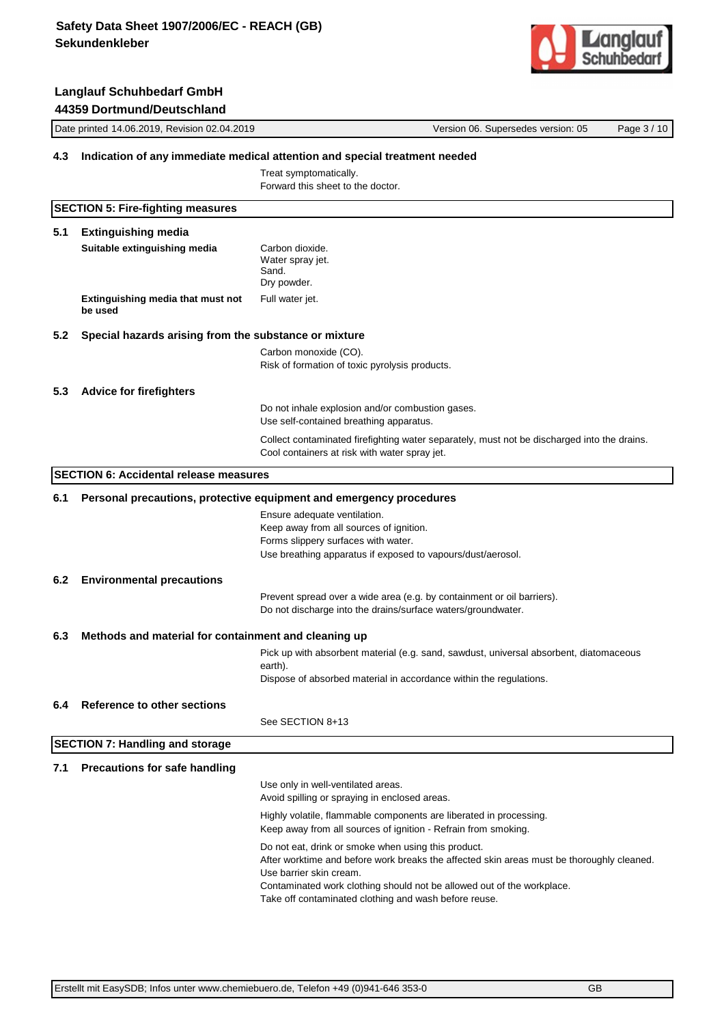**Langlauf Schuhbedarf GmbH**



# Date printed 14.06.2019, Revision 02.04.2019 Version 06. Supersedes version: 05 Page 3 / 10 **44359 Dortmund/Deutschland 4.3 Indication of any immediate medical attention and special treatment needed** Treat symptomatically. Forward this sheet to the doctor. **SECTION 5: Fire-fighting measures 5.1 Extinguishing media Suitable extinguishing media** Carbon dioxide. Water spray jet. Sand. Dry powder. **Extinguishing media that must not be used** Full water jet. **5.2 Special hazards arising from the substance or mixture** Carbon monoxide (CO). Risk of formation of toxic pyrolysis products. **5.3 Advice for firefighters** Do not inhale explosion and/or combustion gases. Use self-contained breathing apparatus. Collect contaminated firefighting water separately, must not be discharged into the drains. Cool containers at risk with water spray jet. **SECTION 6: Accidental release measures 6.1 Personal precautions, protective equipment and emergency procedures** Ensure adequate ventilation. Keep away from all sources of ignition. Forms slippery surfaces with water. Use breathing apparatus if exposed to vapours/dust/aerosol. **6.2 Environmental precautions** Prevent spread over a wide area (e.g. by containment or oil barriers). Do not discharge into the drains/surface waters/groundwater. **6.3 Methods and material for containment and cleaning up** Pick up with absorbent material (e.g. sand, sawdust, universal absorbent, diatomaceous earth). Dispose of absorbed material in accordance within the regulations. **6.4 Reference to other sections** See SECTION 8+13 **SECTION 7: Handling and storage 7.1 Precautions for safe handling** Use only in well-ventilated areas. Avoid spilling or spraying in enclosed areas. Highly volatile, flammable components are liberated in processing. Keep away from all sources of ignition - Refrain from smoking.

Do not eat, drink or smoke when using this product. After worktime and before work breaks the affected skin areas must be thoroughly cleaned. Use barrier skin cream. Contaminated work clothing should not be allowed out of the workplace. Take off contaminated clothing and wash before reuse.

Erstellt mit EasySDB; Infos unter www.chemiebuero.de, Telefon +49 (0)941-646 353-0 GB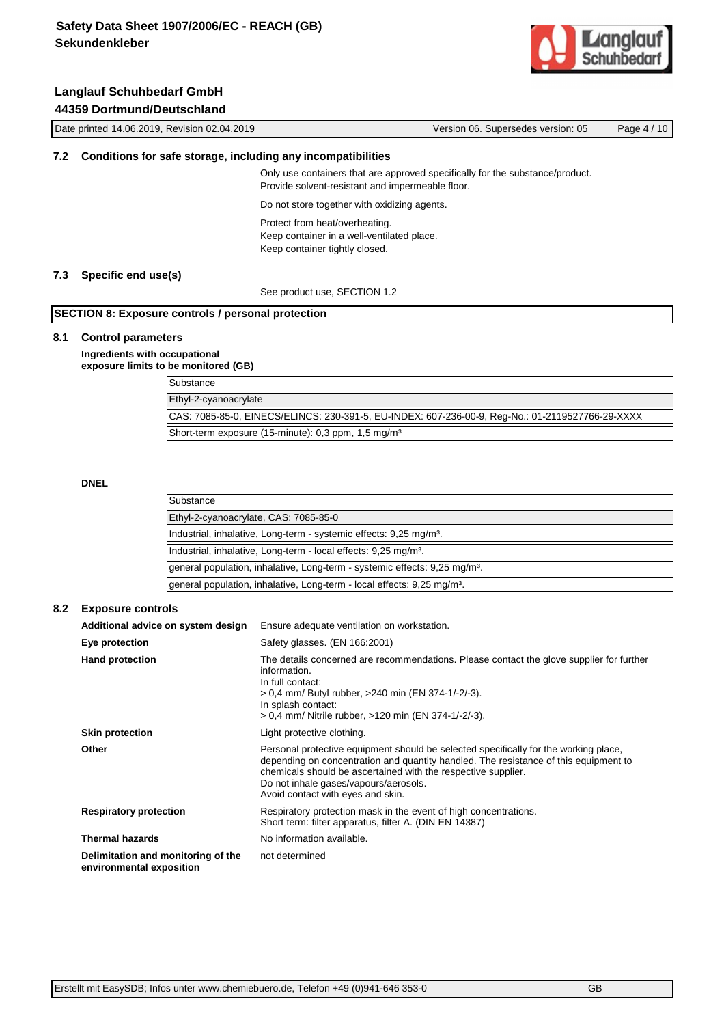Date printed 14.06.2019, Revision 02.04.2019 Version 06. Supersedes version: 05 Page 4 / 10



## **Langlauf Schuhbedarf GmbH 44359 Dortmund/Deutschland**

| 7.2 Conditions for safe storage, including any incompatibilities                                                                  |  |
|-----------------------------------------------------------------------------------------------------------------------------------|--|
| Only use containers that are approved specifically for the substance/product.<br>Provide solvent-resistant and impermeable floor. |  |
| Do not store together with oxidizing agents.                                                                                      |  |
| Protect from heat/overheating.<br>Keep container in a well-ventilated place.<br>Keep container tightly closed.                    |  |

#### **7.3 Specific end use(s)**

See product use, SECTION 1.2

## **SECTION 8: Exposure controls / personal protection**

#### **8.1 Control parameters**

**Ingredients with occupational exposure limits to be monitored (GB)**

| Substance                                                                                        |
|--------------------------------------------------------------------------------------------------|
| Ethyl-2-cyanoacrylate                                                                            |
| CAS: 7085-85-0, EINECS/ELINCS: 230-391-5, EU-INDEX: 607-236-00-9, Reg-No.: 01-2119527766-29-XXXX |
| Short-term exposure (15-minute): 0.3 ppm, 1.5 mg/m <sup>3</sup>                                  |

**DNEL**

| Substance                                                                              |
|----------------------------------------------------------------------------------------|
| Ethyl-2-cyanoacrylate, CAS: 7085-85-0                                                  |
| Industrial, inhalative, Long-term - systemic effects: 9.25 mg/m <sup>3</sup> .         |
| Industrial, inhalative, Long-term - local effects: 9,25 mg/m <sup>3</sup> .            |
| general population, inhalative, Long-term - systemic effects: 9,25 mg/m <sup>3</sup> . |
| general population, inhalative, Long-term - local effects: 9,25 mg/m <sup>3</sup> .    |

### **8.2 Exposure controls**

| Additional advice on system design                             | Ensure adequate ventilation on workstation.                                                                                                                                                                                                                                                                                 |  |
|----------------------------------------------------------------|-----------------------------------------------------------------------------------------------------------------------------------------------------------------------------------------------------------------------------------------------------------------------------------------------------------------------------|--|
| Eye protection                                                 | Safety glasses. (EN 166:2001)                                                                                                                                                                                                                                                                                               |  |
| <b>Hand protection</b>                                         | The details concerned are recommendations. Please contact the glove supplier for further<br>information.<br>In full contact:<br>> 0.4 mm/ Butyl rubber, >240 min (EN 374-1/-2/-3).<br>In splash contact:<br>> 0.4 mm/ Nitrile rubber, >120 min (EN 374-1/-2/-3).                                                            |  |
| <b>Skin protection</b>                                         | Light protective clothing.                                                                                                                                                                                                                                                                                                  |  |
| Other                                                          | Personal protective equipment should be selected specifically for the working place,<br>depending on concentration and quantity handled. The resistance of this equipment to<br>chemicals should be ascertained with the respective supplier.<br>Do not inhale gases/vapours/aerosols.<br>Avoid contact with eyes and skin. |  |
| <b>Respiratory protection</b>                                  | Respiratory protection mask in the event of high concentrations.<br>Short term: filter apparatus, filter A. (DIN EN 14387)                                                                                                                                                                                                  |  |
| <b>Thermal hazards</b>                                         | No information available.                                                                                                                                                                                                                                                                                                   |  |
| Delimitation and monitoring of the<br>environmental exposition | not determined                                                                                                                                                                                                                                                                                                              |  |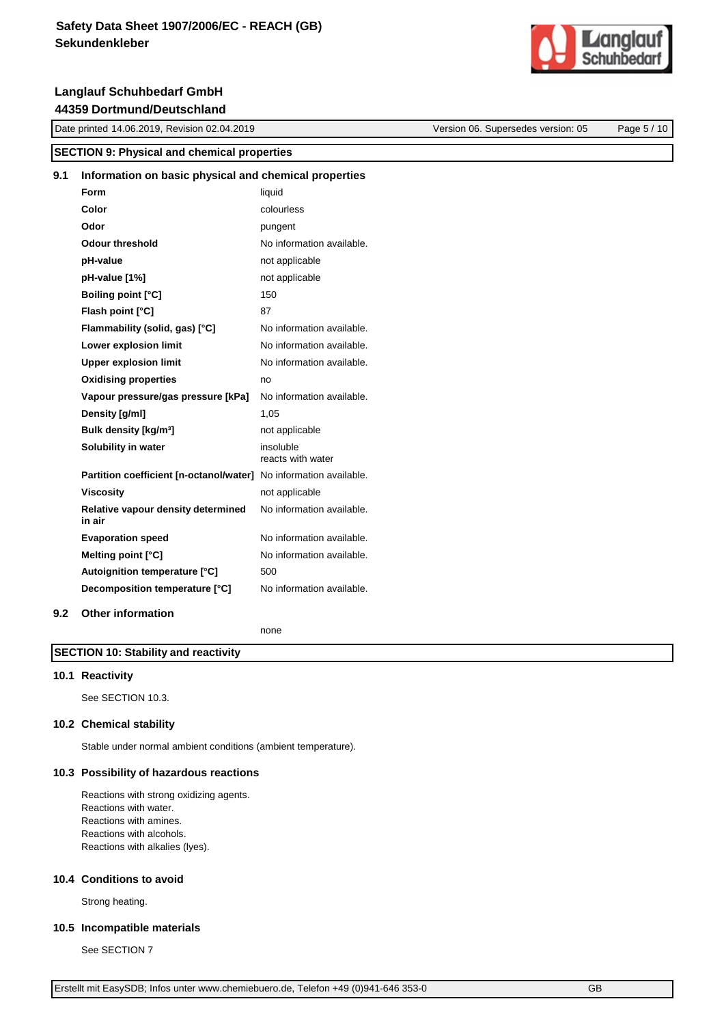Date printed 14.06.2019, Revision 02.04.2019 Version 06. Supersedes version: 05 Page 5 / 10

# **SECTION 9: Physical and chemical properties 9.1 Information on basic physical and chemical properties Form** liquid **Color** colourless **Odor** pungent **Odour threshold** No information available. **pH-value** not applicable **pH-value [1%]** not applicable **Boiling point [°C]** 150 **Flash point [°C]** 87 **Flammability (solid, gas) [°C]** No information available. **Lower explosion limit** No information available. **Upper explosion limit** No information available. **Oxidising properties** no **Vapour pressure/gas pressure [kPa]** No information available. **Density [g/ml]** 1,05 **Bulk density [kg/m<sup>3</sup>]** not applicable **Solubility in water** insoluble reacts with water **Partition coefficient [n-octanol/water]** No information available. **Viscosity** not applicable

No information available.

#### **10.1 Reactivity**

**in air**

See SECTION 10.3.

**SECTION 10: Stability and reactivity**

#### **10.2 Chemical stability**

**9.2 Other information**

Stable under normal ambient conditions (ambient temperature).

**Evaporation speed** No information available. **Melting point [°C]** No information available.

**Decomposition temperature [°C]** No information available.

none

#### **10.3 Possibility of hazardous reactions**

**Relative vapour density determined** 

Autoignition temperature [°C] 500

Reactions with strong oxidizing agents. Reactions with water. Reactions with amines. Reactions with alcohols. Reactions with alkalies (lyes).

#### **10.4 Conditions to avoid**

Strong heating.

#### **10.5 Incompatible materials**

See SECTION 7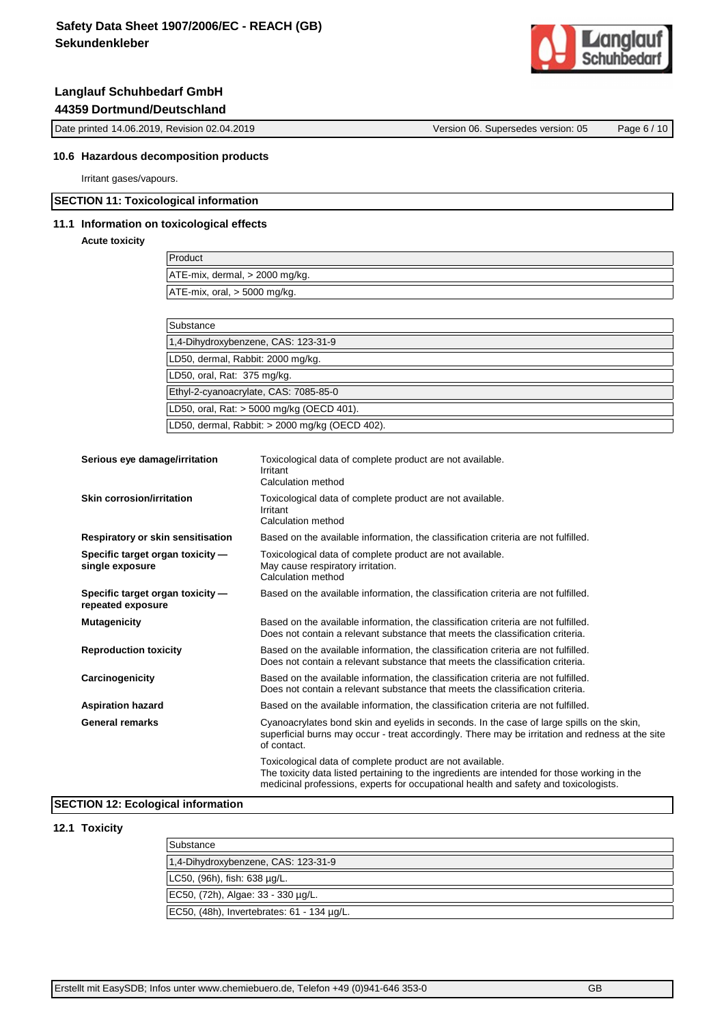

Date printed 14.06.2019, Revision 02.04.2019 Version 06. Supersedes version: 05 Page 6 / 10

#### **10.6 Hazardous decomposition products**

Irritant gases/vapours.

#### **SECTION 11: Toxicological information**

#### **11.1 Information on toxicological effects**

#### **Acute toxicity**

| Product                             |  |
|-------------------------------------|--|
| $ATE-mix$ , dermal, $> 2000$ mg/kg. |  |
| $ATE-mix$ , oral, $> 5000$ mg/kg.   |  |
|                                     |  |

| Substance                                      |  |
|------------------------------------------------|--|
| 1,4-Dihydroxybenzene, CAS: 123-31-9            |  |
| LD50, dermal, Rabbit: 2000 mg/kg.              |  |
| LD50, oral, Rat: 375 mg/kg.                    |  |
| Ethyl-2-cyanoacrylate, CAS: 7085-85-0          |  |
| LD50, oral, Rat: > 5000 mg/kg (OECD 401).      |  |
| LD50, dermal, Rabbit: > 2000 mg/kg (OECD 402). |  |

| Serious eye damage/irritation                         | Toxicological data of complete product are not available.<br>Irritant<br>Calculation method                                                                                                                                                       |
|-------------------------------------------------------|---------------------------------------------------------------------------------------------------------------------------------------------------------------------------------------------------------------------------------------------------|
| Skin corrosion/irritation                             | Toxicological data of complete product are not available.<br>Irritant<br>Calculation method                                                                                                                                                       |
| Respiratory or skin sensitisation                     | Based on the available information, the classification criteria are not fulfilled.                                                                                                                                                                |
| Specific target organ toxicity -<br>single exposure   | Toxicological data of complete product are not available.<br>May cause respiratory irritation.<br>Calculation method                                                                                                                              |
| Specific target organ toxicity -<br>repeated exposure | Based on the available information, the classification criteria are not fulfilled.                                                                                                                                                                |
| <b>Mutagenicity</b>                                   | Based on the available information, the classification criteria are not fulfilled.<br>Does not contain a relevant substance that meets the classification criteria.                                                                               |
| <b>Reproduction toxicity</b>                          | Based on the available information, the classification criteria are not fulfilled.<br>Does not contain a relevant substance that meets the classification criteria.                                                                               |
| Carcinogenicity                                       | Based on the available information, the classification criteria are not fulfilled.<br>Does not contain a relevant substance that meets the classification criteria.                                                                               |
| <b>Aspiration hazard</b>                              | Based on the available information, the classification criteria are not fulfilled.                                                                                                                                                                |
| <b>General remarks</b>                                | Cyanoacrylates bond skin and eyelids in seconds. In the case of large spills on the skin,<br>superficial burns may occur - treat accordingly. There may be irritation and redness at the site<br>of contact.                                      |
|                                                       | Toxicological data of complete product are not available.<br>The toxicity data listed pertaining to the ingredients are intended for those working in the<br>medicinal professions, experts for occupational health and safety and toxicologists. |

## **SECTION 12: Ecological information**

#### **12.1 Toxicity**

| Substance                                  |
|--------------------------------------------|
| 1,4-Dihydroxybenzene, CAS: 123-31-9        |
| LC50, (96h), fish: 638 µg/L.               |
| EC50, (72h), Algae: 33 - 330 µg/L.         |
| EC50, (48h), Invertebrates: 61 - 134 µg/L. |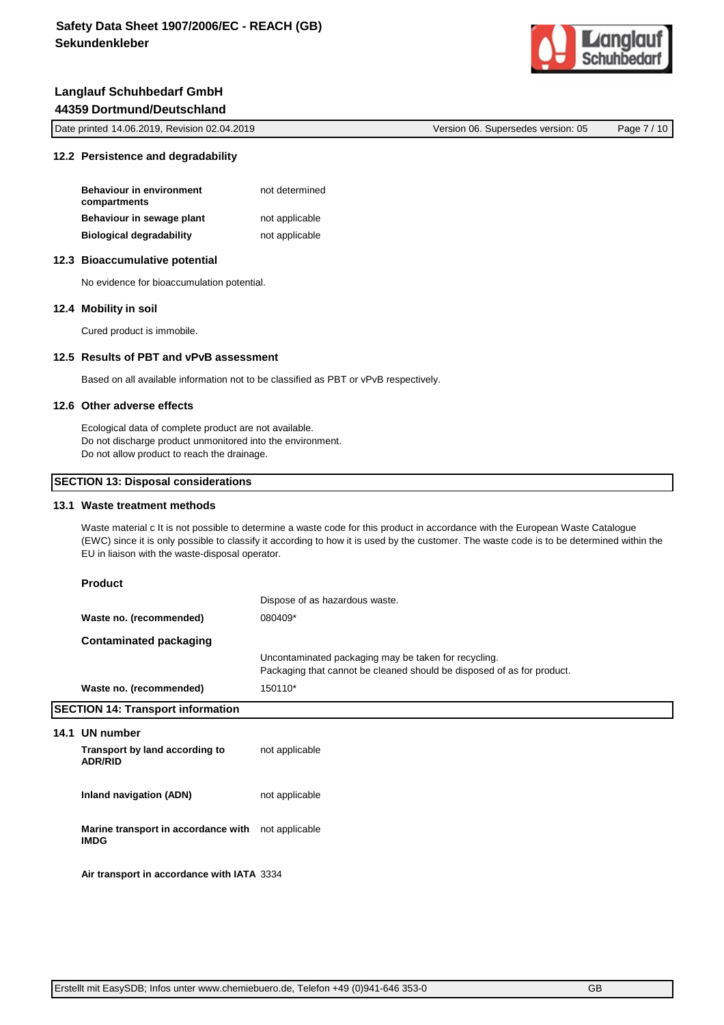

| Date printed 14.06.2019, Revision 02.04.2019 | Version 06. Supersedes version: 05 | Page 7 / 10 |
|----------------------------------------------|------------------------------------|-------------|
|----------------------------------------------|------------------------------------|-------------|

## **12.2 Persistence and degradability**

| <b>Behaviour in environment</b><br>compartments | not determined |
|-------------------------------------------------|----------------|
| Behaviour in sewage plant                       | not applicable |
| <b>Biological degradability</b>                 | not applicable |

## **12.3 Bioaccumulative potential**

No evidence for bioaccumulation potential.

## **12.4 Mobility in soil**

Cured product is immobile.

## **12.5 Results of PBT and vPvB assessment**

Based on all available information not to be classified as PBT or vPvB respectively.

## **12.6 Other adverse effects**

Ecological data of complete product are not available. Do not discharge product unmonitored into the environment. Do not allow product to reach the drainage.

#### **SECTION 13: Disposal considerations**

#### **13.1 Waste treatment methods**

Waste material c It is not possible to determine a waste code for this product in accordance with the European Waste Catalogue (EWC) since it is only possible to classify it according to how it is used by the customer. The waste code is to be determined within the EU in liaison with the waste-disposal operator.

| <b>Product</b>                                                    |                                                                                                                                |
|-------------------------------------------------------------------|--------------------------------------------------------------------------------------------------------------------------------|
|                                                                   | Dispose of as hazardous waste.                                                                                                 |
| Waste no. (recommended)                                           | 080409*                                                                                                                        |
| <b>Contaminated packaging</b>                                     |                                                                                                                                |
|                                                                   | Uncontaminated packaging may be taken for recycling.<br>Packaging that cannot be cleaned should be disposed of as for product. |
| Waste no. (recommended)                                           | 150110*                                                                                                                        |
| <b>SECTION 14: Transport information</b>                          |                                                                                                                                |
| 14.1 UN number                                                    |                                                                                                                                |
| Transport by land according to<br><b>ADR/RID</b>                  | not applicable                                                                                                                 |
| Inland navigation (ADN)                                           | not applicable                                                                                                                 |
| Marine transport in accordance with not applicable<br><b>IMDG</b> |                                                                                                                                |
| Air transport in accordance with IATA 3334                        |                                                                                                                                |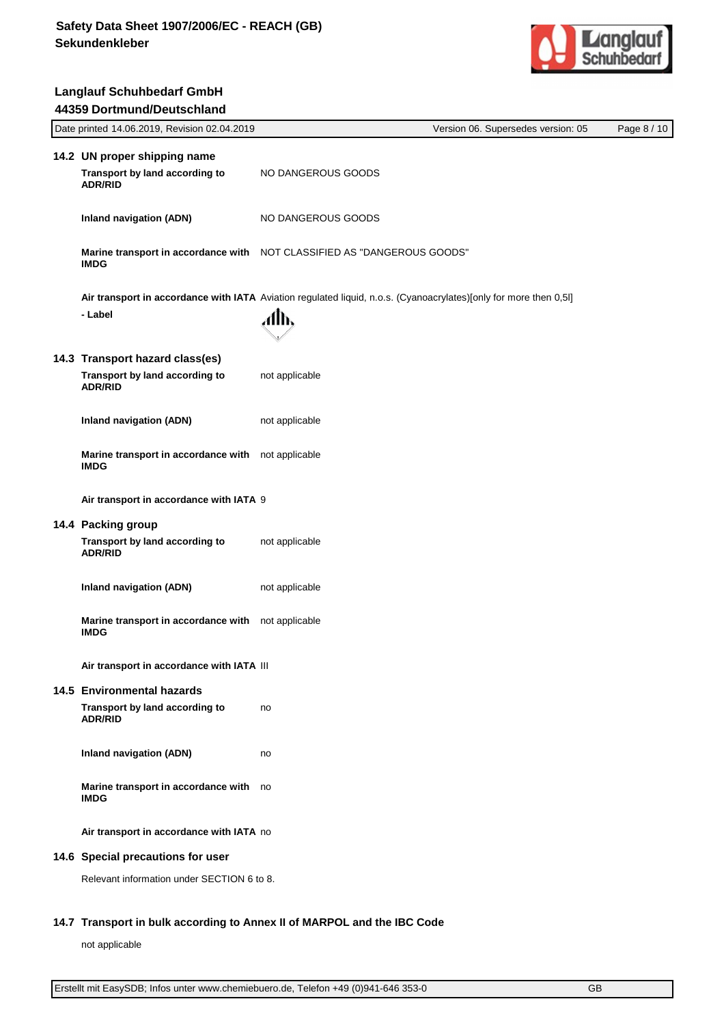

| Date printed 14.06.2019, Revision 02.04.2019                                                                      |                    | Version 06. Supersedes version: 05 | Page 8 / 10 |
|-------------------------------------------------------------------------------------------------------------------|--------------------|------------------------------------|-------------|
| 14.2 UN proper shipping name                                                                                      |                    |                                    |             |
| Transport by land according to<br><b>ADR/RID</b>                                                                  | NO DANGEROUS GOODS |                                    |             |
| <b>Inland navigation (ADN)</b>                                                                                    | NO DANGEROUS GOODS |                                    |             |
| Marine transport in accordance with NOT CLASSIFIED AS "DANGEROUS GOODS"<br><b>IMDG</b>                            |                    |                                    |             |
| Air transport in accordance with IATA Aviation regulated liquid, n.o.s. (Cyanoacrylates)[only for more then 0,5l] |                    |                                    |             |
| - Label                                                                                                           | ЛЉ                 |                                    |             |
| 14.3 Transport hazard class(es)                                                                                   |                    |                                    |             |
| Transport by land according to<br><b>ADR/RID</b>                                                                  | not applicable     |                                    |             |
| <b>Inland navigation (ADN)</b>                                                                                    | not applicable     |                                    |             |
| Marine transport in accordance with<br><b>IMDG</b>                                                                | not applicable     |                                    |             |
| Air transport in accordance with IATA 9                                                                           |                    |                                    |             |
| 14.4 Packing group                                                                                                |                    |                                    |             |
| Transport by land according to<br><b>ADR/RID</b>                                                                  | not applicable     |                                    |             |
| <b>Inland navigation (ADN)</b>                                                                                    | not applicable     |                                    |             |
| Marine transport in accordance with not applicable<br><b>IMDG</b>                                                 |                    |                                    |             |
| Air transport in accordance with IATA III                                                                         |                    |                                    |             |
| 14.5 Environmental hazards                                                                                        |                    |                                    |             |
| Transport by land according to<br><b>ADR/RID</b>                                                                  | no                 |                                    |             |
| <b>Inland navigation (ADN)</b>                                                                                    | no                 |                                    |             |
| Marine transport in accordance with no<br><b>IMDG</b>                                                             |                    |                                    |             |
| Air transport in accordance with IATA no                                                                          |                    |                                    |             |
| 14.6 Special precautions for user                                                                                 |                    |                                    |             |
| Relevant information under SECTION 6 to 8.                                                                        |                    |                                    |             |

## **14.7 Transport in bulk according to Annex II of MARPOL and the IBC Code**

not applicable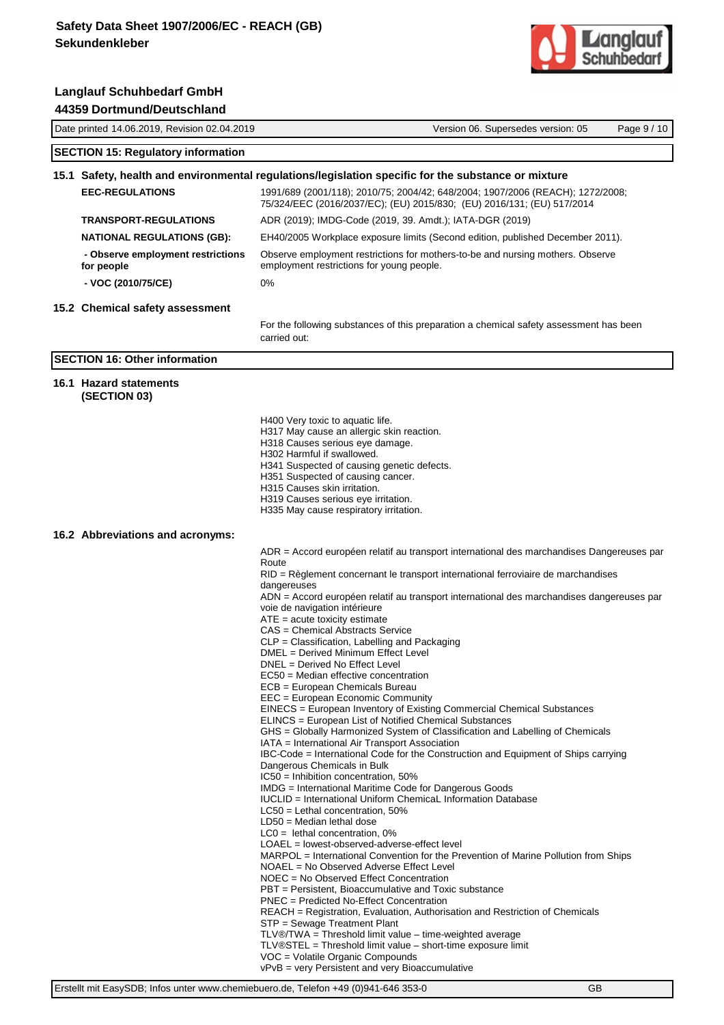

| Date printed 14.06.2019, Revision 02.04.2019    | Version 06. Supersedes version: 05<br>Page 9/10                                                                                                                                                                                                                                                                                                                                                                                                                                                                                                                                                                                                                                                                                                                                                                                                                                                                                                                                                                                                                                                                                                                                                                                                                                                                                                                                                                                                                                                                                                                                                                                                                                                                                                                                                                                                                                                                                                      |  |  |
|-------------------------------------------------|------------------------------------------------------------------------------------------------------------------------------------------------------------------------------------------------------------------------------------------------------------------------------------------------------------------------------------------------------------------------------------------------------------------------------------------------------------------------------------------------------------------------------------------------------------------------------------------------------------------------------------------------------------------------------------------------------------------------------------------------------------------------------------------------------------------------------------------------------------------------------------------------------------------------------------------------------------------------------------------------------------------------------------------------------------------------------------------------------------------------------------------------------------------------------------------------------------------------------------------------------------------------------------------------------------------------------------------------------------------------------------------------------------------------------------------------------------------------------------------------------------------------------------------------------------------------------------------------------------------------------------------------------------------------------------------------------------------------------------------------------------------------------------------------------------------------------------------------------------------------------------------------------------------------------------------------------|--|--|
| <b>SECTION 15: Regulatory information</b>       |                                                                                                                                                                                                                                                                                                                                                                                                                                                                                                                                                                                                                                                                                                                                                                                                                                                                                                                                                                                                                                                                                                                                                                                                                                                                                                                                                                                                                                                                                                                                                                                                                                                                                                                                                                                                                                                                                                                                                      |  |  |
|                                                 | 15.1 Safety, health and environmental regulations/legislation specific for the substance or mixture                                                                                                                                                                                                                                                                                                                                                                                                                                                                                                                                                                                                                                                                                                                                                                                                                                                                                                                                                                                                                                                                                                                                                                                                                                                                                                                                                                                                                                                                                                                                                                                                                                                                                                                                                                                                                                                  |  |  |
| <b>EEC-REGULATIONS</b>                          | 1991/689 (2001/118); 2010/75; 2004/42; 648/2004; 1907/2006 (REACH); 1272/2008;<br>75/324/EEC (2016/2037/EC); (EU) 2015/830; (EU) 2016/131; (EU) 517/2014                                                                                                                                                                                                                                                                                                                                                                                                                                                                                                                                                                                                                                                                                                                                                                                                                                                                                                                                                                                                                                                                                                                                                                                                                                                                                                                                                                                                                                                                                                                                                                                                                                                                                                                                                                                             |  |  |
| <b>TRANSPORT-REGULATIONS</b>                    | ADR (2019); IMDG-Code (2019, 39. Amdt.); IATA-DGR (2019)                                                                                                                                                                                                                                                                                                                                                                                                                                                                                                                                                                                                                                                                                                                                                                                                                                                                                                                                                                                                                                                                                                                                                                                                                                                                                                                                                                                                                                                                                                                                                                                                                                                                                                                                                                                                                                                                                             |  |  |
| <b>NATIONAL REGULATIONS (GB):</b>               | EH40/2005 Workplace exposure limits (Second edition, published December 2011).                                                                                                                                                                                                                                                                                                                                                                                                                                                                                                                                                                                                                                                                                                                                                                                                                                                                                                                                                                                                                                                                                                                                                                                                                                                                                                                                                                                                                                                                                                                                                                                                                                                                                                                                                                                                                                                                       |  |  |
| - Observe employment restrictions<br>for people | Observe employment restrictions for mothers-to-be and nursing mothers. Observe<br>employment restrictions for young people.                                                                                                                                                                                                                                                                                                                                                                                                                                                                                                                                                                                                                                                                                                                                                                                                                                                                                                                                                                                                                                                                                                                                                                                                                                                                                                                                                                                                                                                                                                                                                                                                                                                                                                                                                                                                                          |  |  |
| - VOC (2010/75/CE)                              | 0%                                                                                                                                                                                                                                                                                                                                                                                                                                                                                                                                                                                                                                                                                                                                                                                                                                                                                                                                                                                                                                                                                                                                                                                                                                                                                                                                                                                                                                                                                                                                                                                                                                                                                                                                                                                                                                                                                                                                                   |  |  |
| 15.2 Chemical safety assessment                 |                                                                                                                                                                                                                                                                                                                                                                                                                                                                                                                                                                                                                                                                                                                                                                                                                                                                                                                                                                                                                                                                                                                                                                                                                                                                                                                                                                                                                                                                                                                                                                                                                                                                                                                                                                                                                                                                                                                                                      |  |  |
|                                                 | For the following substances of this preparation a chemical safety assessment has been<br>carried out:                                                                                                                                                                                                                                                                                                                                                                                                                                                                                                                                                                                                                                                                                                                                                                                                                                                                                                                                                                                                                                                                                                                                                                                                                                                                                                                                                                                                                                                                                                                                                                                                                                                                                                                                                                                                                                               |  |  |
| <b>SECTION 16: Other information</b>            |                                                                                                                                                                                                                                                                                                                                                                                                                                                                                                                                                                                                                                                                                                                                                                                                                                                                                                                                                                                                                                                                                                                                                                                                                                                                                                                                                                                                                                                                                                                                                                                                                                                                                                                                                                                                                                                                                                                                                      |  |  |
| 16.1 Hazard statements<br>(SECTION 03)          |                                                                                                                                                                                                                                                                                                                                                                                                                                                                                                                                                                                                                                                                                                                                                                                                                                                                                                                                                                                                                                                                                                                                                                                                                                                                                                                                                                                                                                                                                                                                                                                                                                                                                                                                                                                                                                                                                                                                                      |  |  |
|                                                 | H400 Very toxic to aquatic life.<br>H317 May cause an allergic skin reaction.<br>H318 Causes serious eye damage.<br>H302 Harmful if swallowed.<br>H341 Suspected of causing genetic defects.<br>H351 Suspected of causing cancer.<br>H315 Causes skin irritation.<br>H319 Causes serious eye irritation.<br>H335 May cause respiratory irritation.                                                                                                                                                                                                                                                                                                                                                                                                                                                                                                                                                                                                                                                                                                                                                                                                                                                                                                                                                                                                                                                                                                                                                                                                                                                                                                                                                                                                                                                                                                                                                                                                   |  |  |
| 16.2 Abbreviations and acronyms:                |                                                                                                                                                                                                                                                                                                                                                                                                                                                                                                                                                                                                                                                                                                                                                                                                                                                                                                                                                                                                                                                                                                                                                                                                                                                                                                                                                                                                                                                                                                                                                                                                                                                                                                                                                                                                                                                                                                                                                      |  |  |
|                                                 | ADR = Accord européen relatif au transport international des marchandises Dangereuses par<br>Route<br>RID = Règlement concernant le transport international ferroviaire de marchandises<br>dangereuses<br>ADN = Accord européen relatif au transport international des marchandises dangereuses par<br>voie de navigation intérieure<br>$ATE = acute$ toxicity estimate<br>CAS = Chemical Abstracts Service<br>CLP = Classification, Labelling and Packaging<br>DMEL = Derived Minimum Effect Level<br>DNEL = Derived No Effect Level<br>EC50 = Median effective concentration<br>ECB = European Chemicals Bureau<br>EEC = European Economic Community<br>EINECS = European Inventory of Existing Commercial Chemical Substances<br>ELINCS = European List of Notified Chemical Substances<br>GHS = Globally Harmonized System of Classification and Labelling of Chemicals<br>IATA = International Air Transport Association<br>IBC-Code = International Code for the Construction and Equipment of Ships carrying<br>Dangerous Chemicals in Bulk<br>$IC50 = Inhibition concentration, 50%$<br>IMDG = International Maritime Code for Dangerous Goods<br>IUCLID = International Uniform ChemicaL Information Database<br>$LC50$ = Lethal concentration, 50%<br>$LD50 = Median$ lethal dose<br>$LCO =$ lethal concentration, 0%<br>LOAEL = lowest-observed-adverse-effect level<br>MARPOL = International Convention for the Prevention of Marine Pollution from Ships<br>NOAEL = No Observed Adverse Effect Level<br>NOEC = No Observed Effect Concentration<br>PBT = Persistent, Bioaccumulative and Toxic substance<br>PNEC = Predicted No-Effect Concentration<br>REACH = Registration, Evaluation, Authorisation and Restriction of Chemicals<br>STP = Sewage Treatment Plant<br>TLV®/TWA = Threshold limit value - time-weighted average<br>$TLV@STEL = Threshold limit value - short-time exposure limit$<br>VOC = Volatile Organic Compounds |  |  |

vPvB = very Persistent and very Bioaccumulative